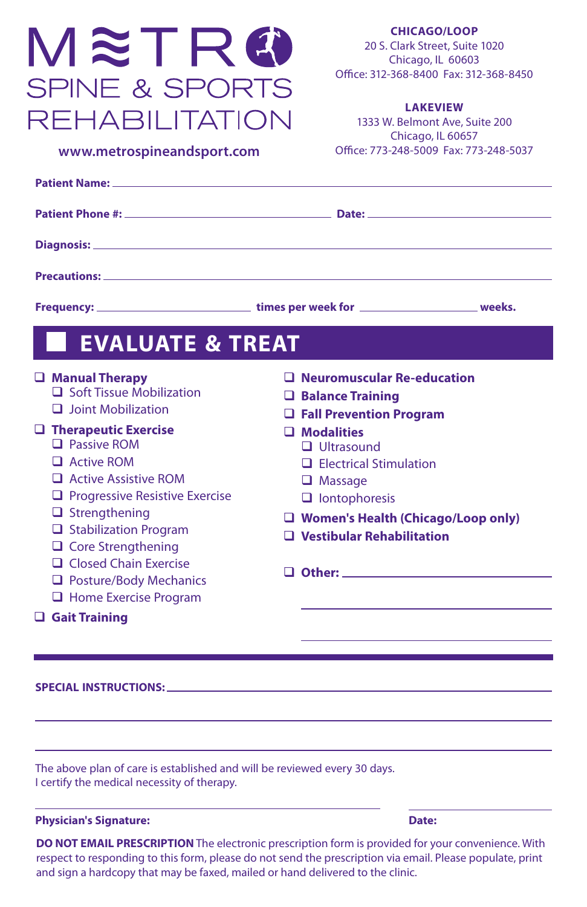# METRO **SPINE & SPORTS REHABILITATION**

**CHICAGO/LOOP** 20 S. Clark Street, Suite 1020 Chicago, IL 60603 Office: 312-368-8400 Fax: 312-368-8450

#### **LAKEVIEW**

1333 W. Belmont Ave, Suite 200 Chicago, IL 60657 **www.metrospineart.com** Office: 773-248-5009 Fax: 773-248-5037

| www.metrospineandsport.com |  |
|----------------------------|--|
|----------------------------|--|

| <b>Patient Name: Example 2014</b>                                                                                                                                                                                                                                               |                                                                                                                                                                                                                                |  |  |
|---------------------------------------------------------------------------------------------------------------------------------------------------------------------------------------------------------------------------------------------------------------------------------|--------------------------------------------------------------------------------------------------------------------------------------------------------------------------------------------------------------------------------|--|--|
|                                                                                                                                                                                                                                                                                 |                                                                                                                                                                                                                                |  |  |
|                                                                                                                                                                                                                                                                                 |                                                                                                                                                                                                                                |  |  |
| <b>Precautions: Example 20</b> in the contract of the contract of the contract of the contract of the contract of the contract of the contract of the contract of the contract of the contract of the contract of the contract of                                               |                                                                                                                                                                                                                                |  |  |
|                                                                                                                                                                                                                                                                                 | Frequency: ________________________________times per week for __________________________weeks.                                                                                                                                 |  |  |
| <b>EVALUATE &amp; TREAT</b>                                                                                                                                                                                                                                                     |                                                                                                                                                                                                                                |  |  |
| Manual Therapy<br>$\Box$ Soft Tissue Mobilization<br>$\Box$ Joint Mobilization                                                                                                                                                                                                  | O Neuromuscular Re-education<br>$\Box$ Balance Training<br><b>Q</b> Fall Prevention Program                                                                                                                                    |  |  |
| $\Box$ Therapeutic Exercise<br>$\Box$ Passive ROM<br>$\Box$ Active ROM<br>Active Assistive ROM<br>$\Box$ Progressive Resistive Exercise<br>$\Box$ Strengthening<br>Stabilization Program<br>$\Box$ Core Strengthening<br>$\Box$ Closed Chain Exercise<br>Posture/Body Mechanics | $\Box$ Modalities<br>$\Box$ Ultrasound<br>$\Box$ Electrical Stimulation<br>$\Box$ Massage<br>$\Box$ lontophoresis<br>U Women's Health (Chicago/Loop only)<br>$\Box$ Vestibular Rehabilitation<br>$\Box$ Other: $\Box$ Other:   |  |  |
| <b>u</b> Home Exercise Program<br>$\Box$ Gait Training                                                                                                                                                                                                                          |                                                                                                                                                                                                                                |  |  |
|                                                                                                                                                                                                                                                                                 |                                                                                                                                                                                                                                |  |  |
|                                                                                                                                                                                                                                                                                 | SPECIAL INSTRUCTIONS: North and the contract of the contract of the contract of the contract of the contract of the contract of the contract of the contract of the contract of the contract of the contract of the contract o |  |  |
|                                                                                                                                                                                                                                                                                 |                                                                                                                                                                                                                                |  |  |
|                                                                                                                                                                                                                                                                                 |                                                                                                                                                                                                                                |  |  |

The above plan of care is established and will be reviewed every 30 days. I certify the medical necessity of therapy.

#### **Physician's Signature:** Date: Date: Date: Date: Date: Date: Date: Date: Date: Date: Date: Date: Date: Date: Date: Date: Date: Date: Date: Date: Date: Date: Date: Date: Date: Date: Date: Date: Date: Date: Date: Date: Date:

**DO NOT EMAIL PRESCRIPTION** The electronic prescription form is provided for your convenience. With respect to responding to this form, please do not send the prescription via email. Please populate, print and sign a hardcopy that may be faxed, mailed or hand delivered to the clinic.

l,